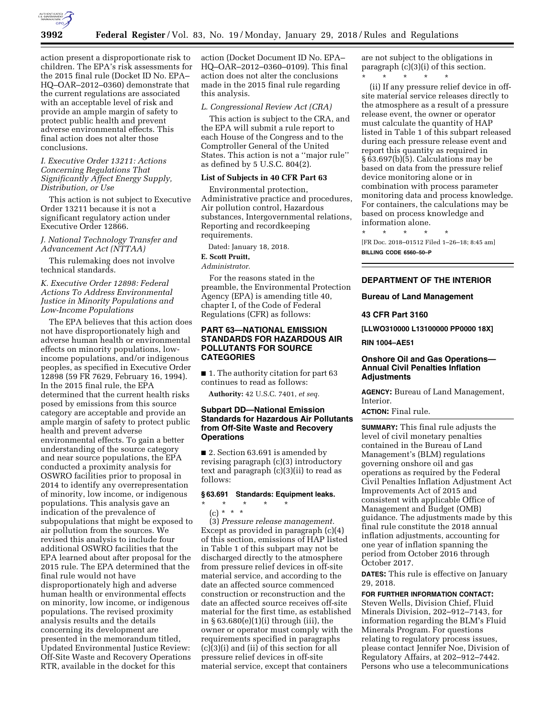

action present a disproportionate risk to children. The EPA's risk assessments for the 2015 final rule (Docket ID No. EPA– HQ–OAR–2012–0360) demonstrate that the current regulations are associated with an acceptable level of risk and provide an ample margin of safety to protect public health and prevent adverse environmental effects. This final action does not alter those conclusions.

## *I. Executive Order 13211: Actions Concerning Regulations That Significantly Affect Energy Supply, Distribution, or Use*

This action is not subject to Executive Order 13211 because it is not a significant regulatory action under Executive Order 12866.

*J. National Technology Transfer and Advancement Act (NTTAA)* 

This rulemaking does not involve technical standards.

## *K. Executive Order 12898: Federal Actions To Address Environmental Justice in Minority Populations and Low-Income Populations*

The EPA believes that this action does not have disproportionately high and adverse human health or environmental effects on minority populations, lowincome populations, and/or indigenous peoples, as specified in Executive Order 12898 (59 FR 7629, February 16, 1994). In the 2015 final rule, the EPA determined that the current health risks posed by emissions from this source category are acceptable and provide an ample margin of safety to protect public health and prevent adverse environmental effects. To gain a better understanding of the source category and near source populations, the EPA conducted a proximity analysis for OSWRO facilities prior to proposal in 2014 to identify any overrepresentation of minority, low income, or indigenous populations. This analysis gave an indication of the prevalence of subpopulations that might be exposed to air pollution from the sources. We revised this analysis to include four additional OSWRO facilities that the EPA learned about after proposal for the 2015 rule. The EPA determined that the final rule would not have disproportionately high and adverse human health or environmental effects on minority, low income, or indigenous populations. The revised proximity analysis results and the details concerning its development are presented in the memorandum titled, Updated Environmental Justice Review: Off-Site Waste and Recovery Operations RTR, available in the docket for this

action (Docket Document ID No. EPA– HQ–OAR–2012–0360–0109). This final action does not alter the conclusions made in the 2015 final rule regarding this analysis.

#### *L. Congressional Review Act (CRA)*

This action is subject to the CRA, and the EPA will submit a rule report to each House of the Congress and to the Comptroller General of the United States. This action is not a ''major rule'' as defined by 5 U.S.C. 804(2).

## **List of Subjects in 40 CFR Part 63**

Environmental protection, Administrative practice and procedures, Air pollution control, Hazardous substances, Intergovernmental relations, Reporting and recordkeeping requirements.

Dated: January 18, 2018.

## **E. Scott Pruitt,**

*Administrator.* 

For the reasons stated in the preamble, the Environmental Protection Agency (EPA) is amending title 40, chapter I, of the Code of Federal Regulations (CFR) as follows:

### **PART 63—NATIONAL EMISSION STANDARDS FOR HAZARDOUS AIR POLLUTANTS FOR SOURCE CATEGORIES**

■ 1. The authority citation for part 63 continues to read as follows:

**Authority:** 42 U.S.C. 7401, *et seq.* 

### **Subpart DD—National Emission Standards for Hazardous Air Pollutants from Off-Site Waste and Recovery Operations**

■ 2. Section 63.691 is amended by revising paragraph (c)(3) introductory text and paragraph (c)(3)(ii) to read as follows:

#### **§ 63.691 Standards: Equipment leaks.**

 $\star$   $\qquad$   $\star$   $\qquad$   $\star$  $(c) * * * *$ 

(3) *Pressure release management.*  Except as provided in paragraph (c)(4) of this section, emissions of HAP listed in Table 1 of this subpart may not be discharged directly to the atmosphere from pressure relief devices in off-site material service, and according to the date an affected source commenced construction or reconstruction and the date an affected source receives off-site material for the first time, as established in § 63.680(e)(1)(i) through (iii), the owner or operator must comply with the requirements specified in paragraphs  $(c)(3)(i)$  and  $(ii)$  of this section for all pressure relief devices in off-site material service, except that containers

are not subject to the obligations in paragraph (c)(3)(i) of this section. \* \* \* \* \*

(ii) If any pressure relief device in offsite material service releases directly to the atmosphere as a result of a pressure release event, the owner or operator must calculate the quantity of HAP listed in Table 1 of this subpart released during each pressure release event and report this quantity as required in § 63.697(b)(5). Calculations may be based on data from the pressure relief device monitoring alone or in combination with process parameter monitoring data and process knowledge. For containers, the calculations may be based on process knowledge and information alone.

\* \* \* \* \* [FR Doc. 2018–01512 Filed 1–26–18; 8:45 am] **BILLING CODE 6560–50–P** 

## **DEPARTMENT OF THE INTERIOR**

**Bureau of Land Management** 

#### **43 CFR Part 3160**

**[LLWO310000 L13100000 PP0000 18X]** 

**RIN 1004–AE51** 

### **Onshore Oil and Gas Operations— Annual Civil Penalties Inflation Adjustments**

**AGENCY:** Bureau of Land Management, Interior.

**ACTION:** Final rule.

**SUMMARY:** This final rule adjusts the level of civil monetary penalties contained in the Bureau of Land Management's (BLM) regulations governing onshore oil and gas operations as required by the Federal Civil Penalties Inflation Adjustment Act Improvements Act of 2015 and consistent with applicable Office of Management and Budget (OMB) guidance. The adjustments made by this final rule constitute the 2018 annual inflation adjustments, accounting for one year of inflation spanning the period from October 2016 through October 2017.

**DATES:** This rule is effective on January 29, 2018.

#### **FOR FURTHER INFORMATION CONTACT:**

Steven Wells, Division Chief, Fluid Minerals Division, 202–912–7143, for information regarding the BLM's Fluid Minerals Program. For questions relating to regulatory process issues, please contact Jennifer Noe, Division of Regulatory Affairs, at 202–912–7442. Persons who use a telecommunications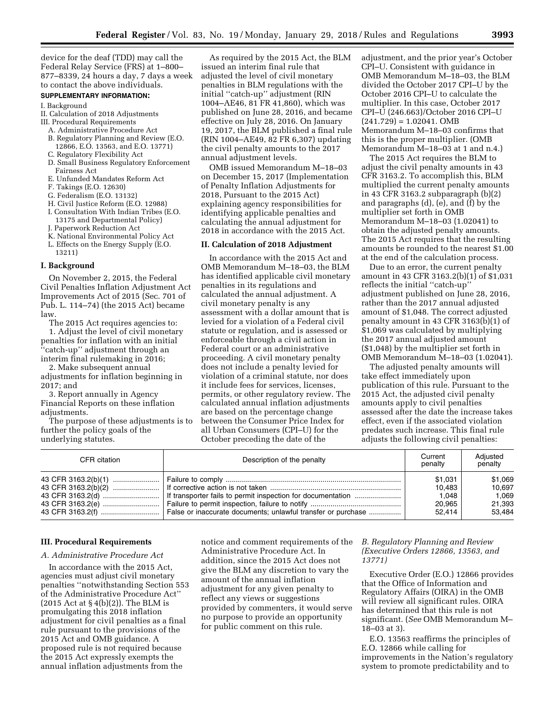device for the deaf (TDD) may call the Federal Relay Service (FRS) at 1–800– 877–8339, 24 hours a day, 7 days a week to contact the above individuals.

#### **SUPPLEMENTARY INFORMATION:**

#### I. Background

II. Calculation of 2018 Adjustments III. Procedural Requirements

- A. Administrative Procedure Act
- B. Regulatory Planning and Review (E.O. 12866, E.O. 13563, and E.O. 13771)
- C. Regulatory Flexibility Act
- D. Small Business Regulatory Enforcement Fairness Act
- E. Unfunded Mandates Reform Act
- F. Takings (E.O. 12630)
- G. Federalism (E.O. 13132)
- H. Civil Justice Reform (E.O. 12988) I. Consultation With Indian Tribes (E.O. 13175 and Departmental Policy)
- J. Paperwork Reduction Act
- K. National Environmental Policy Act
- L. Effects on the Energy Supply (E.O. 13211)

## **I. Background**

On November 2, 2015, the Federal Civil Penalties Inflation Adjustment Act Improvements Act of 2015 (Sec. 701 of Pub. L. 114–74) (the 2015 Act) became law.

The 2015 Act requires agencies to:

1. Adjust the level of civil monetary penalties for inflation with an initial ''catch-up'' adjustment through an interim final rulemaking in 2016;

2. Make subsequent annual adjustments for inflation beginning in 2017; and

3. Report annually in Agency Financial Reports on these inflation adjustments.

The purpose of these adjustments is to further the policy goals of the underlying statutes.

As required by the 2015 Act, the BLM issued an interim final rule that adjusted the level of civil monetary penalties in BLM regulations with the initial ''catch-up'' adjustment (RIN 1004–AE46, 81 FR 41,860), which was published on June 28, 2016, and became effective on July 28, 2016. On January 19, 2017, the BLM published a final rule (RIN 1004–AE49, 82 FR 6,307) updating the civil penalty amounts to the 2017 annual adjustment levels.

OMB issued Memorandum M–18–03 on December 15, 2017 (Implementation of Penalty Inflation Adjustments for 2018, Pursuant to the 2015 Act) explaining agency responsibilities for identifying applicable penalties and calculating the annual adjustment for 2018 in accordance with the 2015 Act.

## **II. Calculation of 2018 Adjustment**

In accordance with the 2015 Act and OMB Memorandum M–18–03, the BLM has identified applicable civil monetary penalties in its regulations and calculated the annual adjustment. A civil monetary penalty is any assessment with a dollar amount that is levied for a violation of a Federal civil statute or regulation, and is assessed or enforceable through a civil action in Federal court or an administrative proceeding. A civil monetary penalty does not include a penalty levied for violation of a criminal statute, nor does it include fees for services, licenses, permits, or other regulatory review. The calculated annual inflation adjustments are based on the percentage change between the Consumer Price Index for all Urban Consumers (CPI–U) for the October preceding the date of the

adjustment, and the prior year's October CPI–U. Consistent with guidance in OMB Memorandum M–18–03, the BLM divided the October 2017 CPI–U by the October 2016 CPI–U to calculate the multiplier. In this case, October 2017 CPI–U (246.663)/October 2016 CPI–U  $(241.729) = 1.02041$ . OMB Memorandum M–18–03 confirms that this is the proper multiplier. (OMB Memorandum M–18–03 at 1 and n.4.)

The 2015 Act requires the BLM to adjust the civil penalty amounts in 43 CFR 3163.2. To accomplish this, BLM multiplied the current penalty amounts in 43 CFR 3163.2 subparagraph (b)(2) and paragraphs (d), (e), and (f) by the multiplier set forth in OMB Memorandum M–18–03 (1.02041) to obtain the adjusted penalty amounts. The 2015 Act requires that the resulting amounts be rounded to the nearest \$1.00 at the end of the calculation process.

Due to an error, the current penalty amount in 43 CFR 3163.2(b)(1) of \$1,031 reflects the initial ''catch-up'' adjustment published on June 28, 2016, rather than the 2017 annual adjusted amount of \$1,048. The correct adjusted penalty amount in 43 CFR 3163(b)(1) of \$1,069 was calculated by multiplying the 2017 annual adjusted amount (\$1,048) by the multiplier set forth in OMB Memorandum M–18–03 (1.02041).

The adjusted penalty amounts will take effect immediately upon publication of this rule. Pursuant to the 2015 Act, the adjusted civil penalty amounts apply to civil penalties assessed after the date the increase takes effect, even if the associated violation predates such increase. This final rule adjusts the following civil penalties:

| CFR citation | Description of the penalty | Current<br>penalty                             | Adiusted<br>penalty                            |
|--------------|----------------------------|------------------------------------------------|------------------------------------------------|
|              |                            | \$1.031<br>10.483<br>1.048<br>20.965<br>52.414 | \$1,069<br>10.697<br>1.069<br>21,393<br>53.484 |

### **III. Procedural Requirements**

#### *A. Administrative Procedure Act*

In accordance with the 2015 Act, agencies must adjust civil monetary penalties ''notwithstanding Section 553 of the Administrative Procedure Act''  $(2015 \text{ Act at } §4(b)(2))$ . The BLM is promulgating this 2018 inflation adjustment for civil penalties as a final rule pursuant to the provisions of the 2015 Act and OMB guidance. A proposed rule is not required because the 2015 Act expressly exempts the annual inflation adjustments from the

notice and comment requirements of the Administrative Procedure Act. In addition, since the 2015 Act does not give the BLM any discretion to vary the amount of the annual inflation adjustment for any given penalty to reflect any views or suggestions provided by commenters, it would serve no purpose to provide an opportunity for public comment on this rule.

## *B. Regulatory Planning and Review (Executive Orders 12866, 13563, and 13771)*

Executive Order (E.O.) 12866 provides that the Office of Information and Regulatory Affairs (OIRA) in the OMB will review all significant rules. OIRA has determined that this rule is not significant. (*See* OMB Memorandum M– 18–03 at 3).

E.O. 13563 reaffirms the principles of E.O. 12866 while calling for improvements in the Nation's regulatory system to promote predictability and to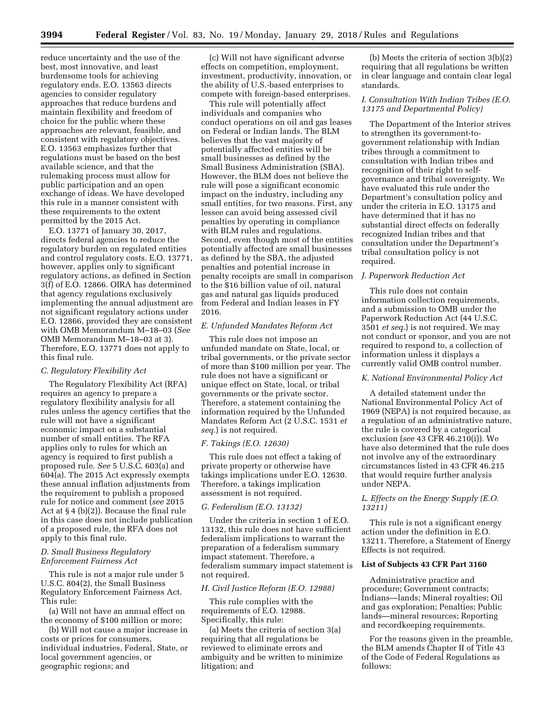reduce uncertainty and the use of the best, most innovative, and least burdensome tools for achieving regulatory ends. E.O. 13563 directs agencies to consider regulatory approaches that reduce burdens and maintain flexibility and freedom of choice for the public where these approaches are relevant, feasible, and consistent with regulatory objectives. E.O. 13563 emphasizes further that regulations must be based on the best available science, and that the rulemaking process must allow for public participation and an open exchange of ideas. We have developed this rule in a manner consistent with these requirements to the extent permitted by the 2015 Act.

E.O. 13771 of January 30, 2017, directs federal agencies to reduce the regulatory burden on regulated entities and control regulatory costs. E.O. 13771, however, applies only to significant regulatory actions, as defined in Section 3(f) of E.O. 12866. OIRA has determined that agency regulations exclusively implementing the annual adjustment are not significant regulatory actions under E.O. 12866, provided they are consistent with OMB Memorandum M–18–03 (*See*  OMB Memorandum M–18–03 at 3). Therefore, E.O. 13771 does not apply to this final rule.

### *C. Regulatory Flexibility Act*

The Regulatory Flexibility Act (RFA) requires an agency to prepare a regulatory flexibility analysis for all rules unless the agency certifies that the rule will not have a significant economic impact on a substantial number of small entities. The RFA applies only to rules for which an agency is required to first publish a proposed rule. *See* 5 U.S.C. 603(a) and 604(a). The 2015 Act expressly exempts these annual inflation adjustments from the requirement to publish a proposed rule for notice and comment (*see* 2015 Act at § 4 (b)(2)). Because the final rule in this case does not include publication of a proposed rule, the RFA does not apply to this final rule.

### *D. Small Business Regulatory Enforcement Fairness Act*

This rule is not a major rule under 5 U.S.C. 804(2), the Small Business Regulatory Enforcement Fairness Act. This rule:

(a) Will not have an annual effect on the economy of \$100 million or more;

(b) Will not cause a major increase in costs or prices for consumers, individual industries, Federal, State, or local government agencies, or geographic regions; and

(c) Will not have significant adverse effects on competition, employment, investment, productivity, innovation, or the ability of U.S.-based enterprises to compete with foreign-based enterprises.

This rule will potentially affect individuals and companies who conduct operations on oil and gas leases on Federal or Indian lands. The BLM believes that the vast majority of potentially affected entities will be small businesses as defined by the Small Business Administration (SBA). However, the BLM does not believe the rule will pose a significant economic impact on the industry, including any small entities, for two reasons. First, any lessee can avoid being assessed civil penalties by operating in compliance with BLM rules and regulations. Second, even though most of the entities potentially affected are small businesses as defined by the SBA, the adjusted penalties and potential increase in penalty receipts are small in comparison to the \$16 billion value of oil, natural gas and natural gas liquids produced from Federal and Indian leases in FY 2016.

#### *E. Unfunded Mandates Reform Act*

This rule does not impose an unfunded mandate on State, local, or tribal governments, or the private sector of more than \$100 million per year. The rule does not have a significant or unique effect on State, local, or tribal governments or the private sector. Therefore, a statement containing the information required by the Unfunded Mandates Reform Act (2 U.S.C. 1531 *et seq.*) is not required.

#### *F. Takings (E.O. 12630)*

This rule does not effect a taking of private property or otherwise have takings implications under E.O. 12630. Therefore, a takings implication assessment is not required.

### *G. Federalism (E.O. 13132)*

Under the criteria in section 1 of E.O. 13132, this rule does not have sufficient federalism implications to warrant the preparation of a federalism summary impact statement. Therefore, a federalism summary impact statement is not required.

### *H. Civil Justice Reform (E.O. 12988)*

This rule complies with the requirements of E.O. 12988. Specifically, this rule:

(a) Meets the criteria of section 3(a) requiring that all regulations be reviewed to eliminate errors and ambiguity and be written to minimize litigation; and

(b) Meets the criteria of section 3(b)(2) requiring that all regulations be written in clear language and contain clear legal standards.

### *I. Consultation With Indian Tribes (E.O. 13175 and Departmental Policy)*

The Department of the Interior strives to strengthen its government-togovernment relationship with Indian tribes through a commitment to consultation with Indian tribes and recognition of their right to selfgovernance and tribal sovereignty. We have evaluated this rule under the Department's consultation policy and under the criteria in E.O. 13175 and have determined that it has no substantial direct effects on federally recognized Indian tribes and that consultation under the Department's tribal consultation policy is not required.

#### *J. Paperwork Reduction Act*

This rule does not contain information collection requirements, and a submission to OMB under the Paperwork Reduction Act (44 U.S.C. 3501 *et seq.*) is not required. We may not conduct or sponsor, and you are not required to respond to, a collection of information unless it displays a currently valid OMB control number.

### *K. National Environmental Policy Act*

A detailed statement under the National Environmental Policy Act of 1969 (NEPA) is not required because, as a regulation of an administrative nature, the rule is covered by a categorical exclusion (*see* 43 CFR 46.210(i)). We have also determined that the rule does not involve any of the extraordinary circumstances listed in 43 CFR 46.215 that would require further analysis under NEPA.

### *L. Effects on the Energy Supply (E.O. 13211)*

This rule is not a significant energy action under the definition in E.O. 13211. Therefore, a Statement of Energy Effects is not required.

### **List of Subjects 43 CFR Part 3160**

Administrative practice and procedure; Government contracts; Indians—lands; Mineral royalties; Oil and gas exploration; Penalties; Public lands—mineral resources; Reporting and recordkeeping requirements.

For the reasons given in the preamble, the BLM amends Chapter II of Title 43 of the Code of Federal Regulations as follows: